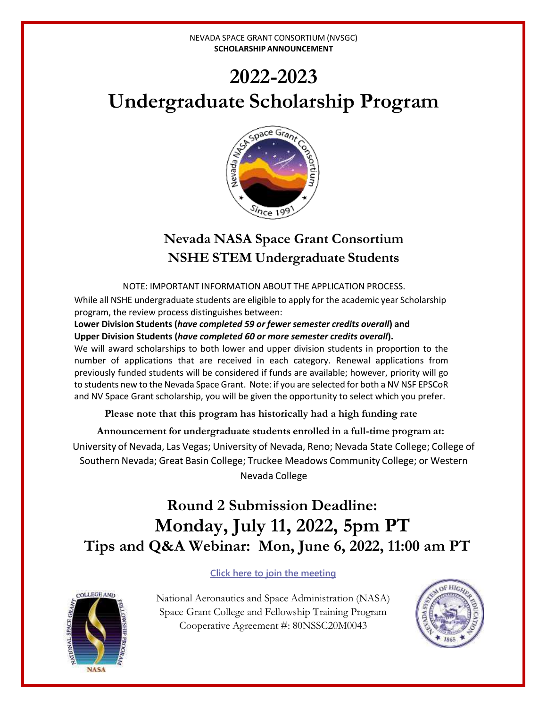# **2022-2023 Undergraduate Scholarship Program**



## **Nevada NASA Space Grant Consortium NSHE STEM Undergraduate Students**

NOTE: IMPORTANT INFORMATION ABOUT THE APPLICATION PROCESS.

While all NSHE undergraduate students are eligible to apply for the academic year Scholarship program, the review process distinguishes between:

**Lower Division Students (***have completed 59 or fewer semester credits overall***) and Upper Division Students (***have completed 60 or more semester credits overall***).**

We will award scholarships to both lower and upper division students in proportion to the number of applications that are received in each category. Renewal applications from previously funded students will be considered if funds are available; however, priority will go to students new to the Nevada Space Grant. Note: if you are selected for both a NV NSF EPSCoR and NV Space Grant scholarship, you will be given the opportunity to select which you prefer.

**Please note that this program has historically had a high funding rate**

**Announcement for undergraduate students enrolled in a full-time program at:** University of Nevada, Las Vegas; University of Nevada, Reno; Nevada State College; College of Southern Nevada; Great Basin College; Truckee Meadows Community College; or Western Nevada College

## **Round 2 Submission Deadline: Monday, July 11, 2022, 5pm PT Tips and Q&A Webinar: Mon, June 6, 2022, 11:00 am PT**

### **[Click here to join the meeting](https://teams.microsoft.com/l/meetup-join/19%3ameeting_MjM4YTI5MTItZDViOC00N2RhLWJlMzctYWE4M2Y4MTY2ZWE1%40thread.v2/0?context=%7b%22Tid%22%3a%2233c1e122-3fec-49d1-aff8-2affbef66f4e%22%2c%22Oid%22%3a%22244d97dc-0217-4494-a8cd-b21e6f1a6e08%22%7d)**

National Aeronautics and Space Administration (NASA) Space Grant College and Fellowship Training Program Cooperative Agreement #: 80NSSC20M0043



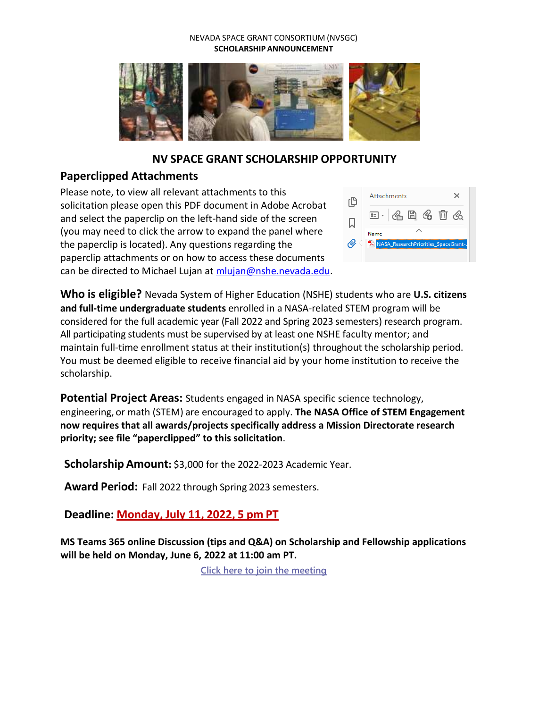

## **NV SPACE GRANT SCHOLARSHIP OPPORTUNITY**

## **Paperclipped Attachments**

Please note, to view all relevant attachments to this solicitation please open this PDF document in Adobe Acrobat and select the paperclip on the left-hand side of the screen (you may need to click the arrow to expand the panel where the paperclip is located). Any questions regarding the paperclip attachments or on how to access these documents can be directed to Michael Lujan a[t mlujan@nshe.nevada.edu.](mailto:mlujan@nshe.nevada.edu)



**Who is eligible?** Nevada System of Higher Education (NSHE) students who are **U.S. citizens and full-time undergraduate students** enrolled in a NASA-related STEM program will be considered for the full academic year (Fall 2022 and Spring 2023 semesters) research program. All participating students must be supervised by at least one NSHE faculty mentor; and maintain full-time enrollment status at their institution(s) throughout the scholarship period. You must be deemed eligible to receive financial aid by your home institution to receive the scholarship.

**Potential Project Areas:** Students engaged in NASA specific science technology, engineering, or math (STEM) are encouraged to apply. **The NASA Office of STEM Engagement now requires that all awards/projects specifically address a Mission Directorate research priority; see file "paperclipped" to this solicitation**.

**Scholarship Amount:** \$3,000 for the 2022-2023 Academic Year.

**Award Period:** Fall 2022 through Spring 2023 semesters.

**Deadline: Monday, July 11, 2022, 5 pm PT**

**MS Teams 365 online Discussion (tips and Q&A) on Scholarship and Fellowship applications will be held on Monday, June 6, 2022 at 11:00 am PT.** 

**[Click here to join the meeting](https://teams.microsoft.com/l/meetup-join/19%3ameeting_MjM4YTI5MTItZDViOC00N2RhLWJlMzctYWE4M2Y4MTY2ZWE1%40thread.v2/0?context=%7b%22Tid%22%3a%2233c1e122-3fec-49d1-aff8-2affbef66f4e%22%2c%22Oid%22%3a%22244d97dc-0217-4494-a8cd-b21e6f1a6e08%22%7d)**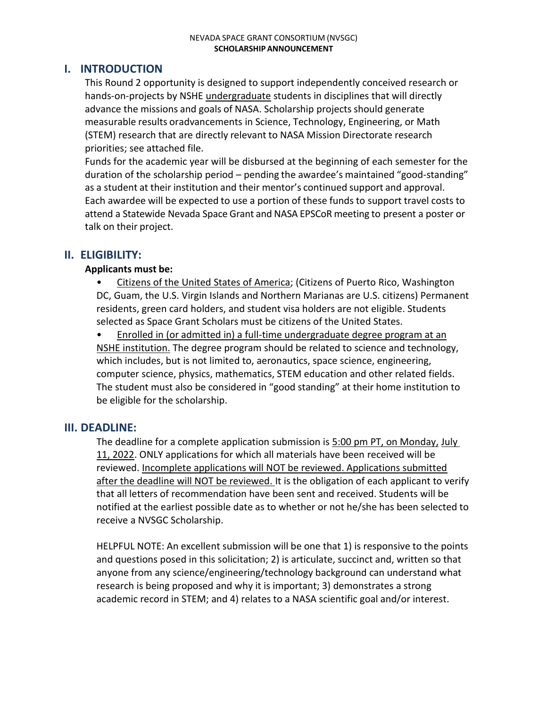### **I. INTRODUCTION**

This Round 2 opportunity is designed to support independently conceived research or hands-on-projects by NSHE undergraduate students in disciplines that will directly advance the missions and goals of NASA. Scholarship projects should generate measurable results oradvancements in Science, Technology, Engineering, or Math (STEM) research that are directly relevant to NASA Mission Directorate research priorities; see attached file.

Funds for the academic year will be disbursed at the beginning of each semester for the duration of the scholarship period – pending the awardee's maintained "good-standing" as a student at their institution and their mentor's continued support and approval. Each awardee will be expected to use a portion of these funds to support travel costs to attend a Statewide Nevada Space Grant and NASA EPSCoR meeting to present a poster or talk on their project.

## **II. ELIGIBILITY:**

#### **Applicants must be:**

• Citizens of the United States of America; (Citizens of Puerto Rico, Washington DC, Guam, the U.S. Virgin Islands and Northern Marianas are U.S. citizens) Permanent residents, green card holders, and student visa holders are not eligible. Students selected as Space Grant Scholars must be citizens of the United States.

Enrolled in (or admitted in) a full-time undergraduate degree program at an NSHE institution. The degree program should be related to science and technology, which includes, but is not limited to, aeronautics, space science, engineering, computer science, physics, mathematics, STEM education and other related fields. The student must also be considered in "good standing" at their home institution to be eligible for the scholarship.

### **III. DEADLINE:**

The deadline for a complete application submission is 5:00 pm PT, on Monday, July 11, 2022. ONLY applications for which all materials have been received will be reviewed. Incomplete applications will NOT be reviewed. Applications submitted after the deadline will NOT be reviewed. It is the obligation of each applicant to verify that all letters of recommendation have been sent and received. Students will be notified at the earliest possible date as to whether or not he/she has been selected to receive a NVSGC Scholarship.

HELPFUL NOTE: An excellent submission will be one that 1) is responsive to the points and questions posed in this solicitation; 2) is articulate, succinct and, written so that anyone from any science/engineering/technology background can understand what research is being proposed and why it is important; 3) demonstrates a strong academic record in STEM; and 4) relates to a NASA scientific goal and/or interest.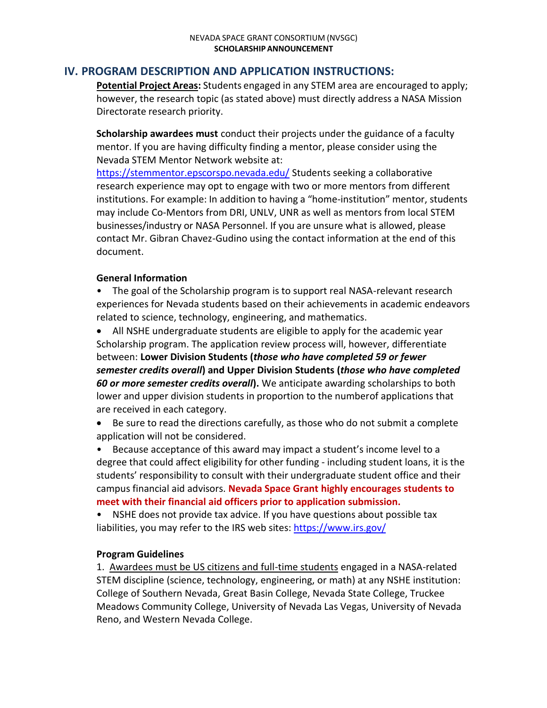## **IV. PROGRAM DESCRIPTION AND APPLICATION INSTRUCTIONS:**

**Potential Project Areas:** Students engaged in any STEM area are encouraged to apply; however, the research topic (as stated above) must directly address a NASA Mission Directorate research priority.

**Scholarship awardees must** conduct their projects under the guidance of a faculty mentor. If you are having difficulty finding a mentor, please consider using the Nevada STEM Mentor Network website at:

<https://stemmentor.epscorspo.nevada.edu/> Students seeking a collaborative research experience may opt to engage with two or more mentors from different institutions. For example: In addition to having a "home-institution" mentor, students may include Co-Mentors from DRI, UNLV, UNR as well as mentors from local STEM businesses/industry or NASA Personnel. If you are unsure what is allowed, please contact Mr. Gibran Chavez-Gudino using the contact information at the end of this document.

#### **General Information**

• The goal of the Scholarship program is to support real NASA-relevant research experiences for Nevada students based on their achievements in academic endeavors related to science, technology, engineering, and mathematics.

• All NSHE undergraduate students are eligible to apply for the academic year Scholarship program. The application review process will, however, differentiate between: **Lower Division Students (***those who have completed 59 or fewer semester credits overall***) and Upper Division Students (***those who have completed 60 or more semester credits overall***).** We anticipate awarding scholarships to both lower and upper division students in proportion to the numberof applications that are received in each category.

• Be sure to read the directions carefully, as those who do not submit a complete application will not be considered.

• Because acceptance of this award may impact a student's income level to a degree that could affect eligibility for other funding - including student loans, it is the students' responsibility to consult with their undergraduate student office and their campus financial aid advisors. **Nevada Space Grant highly encourages students to meet with their financial aid officers prior to application submission.**

• NSHE does not provide tax advice. If you have questions about possible tax liabilities, you may refer to the IRS web sites: <https://www.irs.gov/>

#### **Program Guidelines**

1. Awardees must be US citizens and full-time students engaged in a NASA-related STEM discipline (science, technology, engineering, or math) at any NSHE institution: College of Southern Nevada, Great Basin College, Nevada State College, Truckee Meadows Community College, University of Nevada Las Vegas, University of Nevada Reno, and Western Nevada College.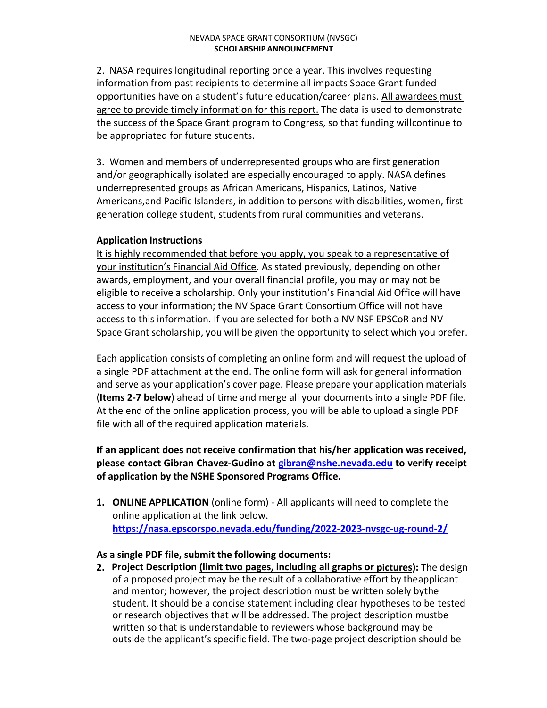2. NASA requires longitudinal reporting once a year. This involves requesting information from past recipients to determine all impacts Space Grant funded opportunities have on a student's future education/career plans. All awardees must agree to provide timely information for this report. The data is used to demonstrate the success of the Space Grant program to Congress, so that funding willcontinue to be appropriated for future students.

3. Women and members of underrepresented groups who are first generation and/or geographically isolated are especially encouraged to apply. NASA defines underrepresented groups as African Americans, Hispanics, Latinos, Native Americans,and Pacific Islanders, in addition to persons with disabilities, women, first generation college student, students from rural communities and veterans.

#### **Application Instructions**

It is highly recommended that before you apply, you speak to a representative of your institution's Financial Aid Office. As stated previously, depending on other awards, employment, and your overall financial profile, you may or may not be eligible to receive a scholarship. Only your institution's Financial Aid Office will have access to your information; the NV Space Grant Consortium Office will not have access to this information. If you are selected for both a NV NSF EPSCoR and NV Space Grant scholarship, you will be given the opportunity to select which you prefer.

Each application consists of completing an online form and will request the upload of a single PDF attachment at the end. The online form will ask for general information and serve as your application's cover page. Please prepare your application materials (**Items 2-7 below**) ahead of time and merge all your documents into a single PDF file. At the end of the online application process, you will be able to upload a single PDF file with all of the required application materials.

**If an applicant does not receive confirmation that his/her application was received, please contact Gibran Chavez-Gudino at [gibran@nshe.nevada.edu](mailto:gibran@nshe.nevada.edu) to verify receipt of application by the NSHE Sponsored Programs Office.**

**1. ONLINE APPLICATION** (online form) - All applicants will need to complete the online application at the link below. **<https://nasa.epscorspo.nevada.edu/funding/2022-2023-nvsgc-ug-round-2/>**

#### **As a single PDF file, submit the following documents:**

**2. Project Description (limit two pages, including all graphs or pictures):** The design of a proposed project may be the result of a collaborative effort by theapplicant and mentor; however, the project description must be written solely bythe student. It should be a concise statement including clear hypotheses to be tested or research objectives that will be addressed. The project description mustbe written so that is understandable to reviewers whose background may be outside the applicant's specific field. The two-page project description should be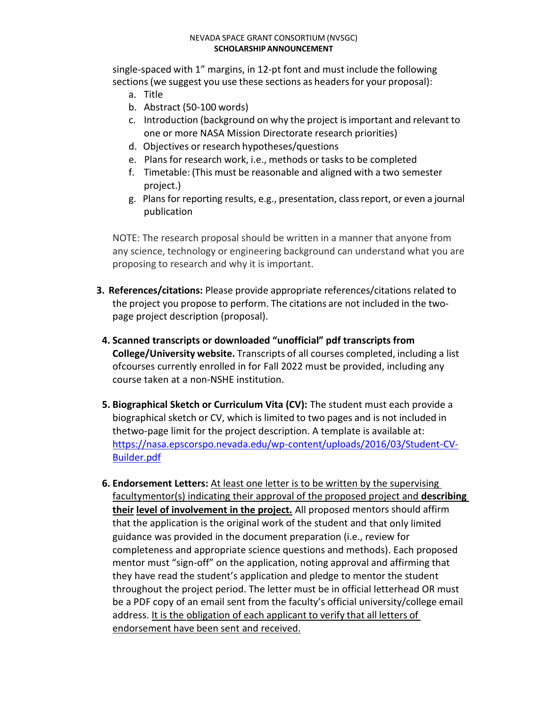single-spaced with 1" margins, in 12-pt font and must include the following sections (we suggest you use these sections as headers for your proposal):

- a. Title
- b. Abstract (50-100 words)
- c. Introduction (background on why the project isimportant and relevant to one or more NASA Mission Directorate research priorities)
- d. Objectives or research hypotheses/questions
- e. Plans for research work, i.e., methods or tasks to be completed
- f. Timetable: (This must be reasonable and aligned with a two semester project.)
- g. Plans for reporting results, e.g., presentation, classreport, or even a journal publication

NOTE: The research proposal should be written in a manner that anyone from any science, technology or engineering background can understand what you are proposing to research and why it is important.

- **3. References/citations:** Please provide appropriate references/citations related to the project you propose to perform. The citations are not included in the twopage project description (proposal).
- **4. Scanned transcripts or downloaded "unofficial" pdf transcripts from College/University website.** Transcripts of all courses completed, including a list ofcourses currently enrolled in for Fall 2022 must be provided, including any course taken at a non-NSHE institution.
- **5. Biographical Sketch or Curriculum Vita (CV):** The student must each provide a biographical sketch or CV, which is limited to two pages and is not included in thetwo-page limit for the project description. A template is available at: [https://nasa.epscorspo.nevada.edu/wp-content/uploads/2016/03/Student-CV-](https://nasa.epscorspo.nevada.edu/wp-content/uploads/2016/03/Student-CV-Builder.pdf)[Builder.pdf](https://nasa.epscorspo.nevada.edu/wp-content/uploads/2016/03/Student-CV-Builder.pdf)
- **6. Endorsement Letters:** At least one letter is to be written by the supervising facultymentor(s) indicating their approval of the proposed project and **describing their level of involvement in the project.** All proposed mentors should affirm that the application is the original work of the student and that only limited guidance was provided in the document preparation (i.e., review for completeness and appropriate science questions and methods). Each proposed mentor must "sign-off" on the application, noting approval and affirming that they have read the student's application and pledge to mentor the student throughout the project period. The letter must be in official letterhead OR must be a PDF copy of an email sent from the faculty's official university/college email address. It is the obligation of each applicant to verify that all letters of endorsement have been sent and received.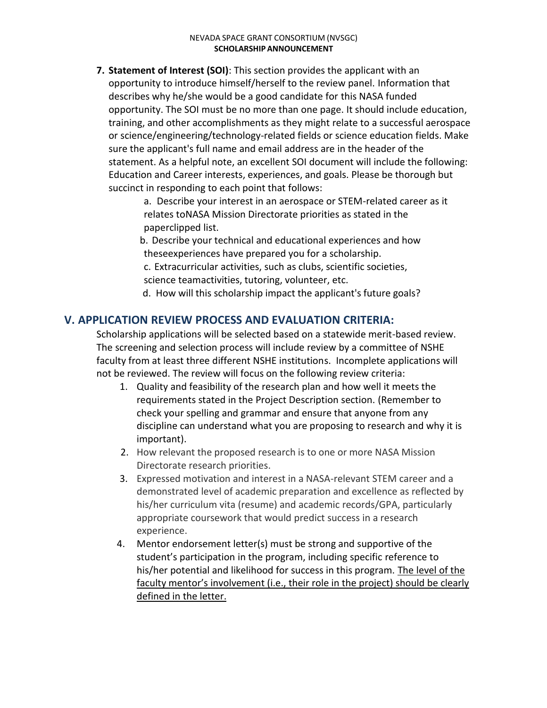- **7. Statement of Interest (SOI)**: This section provides the applicant with an opportunity to introduce himself/herself to the review panel. Information that describes why he/she would be a good candidate for this NASA funded opportunity. The SOI must be no more than one page. It should include education, training, and other accomplishments as they might relate to a successful aerospace or science/engineering/technology-related fields or science education fields. Make sure the applicant's full name and email address are in the header of the statement. As a helpful note, an excellent SOI document will include the following: Education and Career interests, experiences, and goals. Please be thorough but succinct in responding to each point that follows:
	- a. Describe your interest in an aerospace or STEM-related career as it relates toNASA Mission Directorate priorities as stated in the paperclipped list.
	- b. Describe your technical and educational experiences and how theseexperiences have prepared you for a scholarship.
	- c. Extracurricular activities, such as clubs, scientific societies,
	- science teamactivities, tutoring, volunteer, etc.
	- d. How will this scholarship impact the applicant's future goals?

## **V. APPLICATION REVIEW PROCESS AND EVALUATION CRITERIA:**

Scholarship applications will be selected based on a statewide merit-based review. The screening and selection process will include review by a committee of NSHE faculty from at least three different NSHE institutions. Incomplete applications will not be reviewed. The review will focus on the following review criteria:

- 1. Quality and feasibility of the research plan and how well it meets the requirements stated in the Project Description section. (Remember to check your spelling and grammar and ensure that anyone from any discipline can understand what you are proposing to research and why it is important).
- 2. How relevant the proposed research is to one or more NASA Mission Directorate research priorities.
- 3. Expressed motivation and interest in a NASA-relevant STEM career and a demonstrated level of academic preparation and excellence as reflected by his/her curriculum vita (resume) and academic records/GPA, particularly appropriate coursework that would predict success in a research experience.
- 4. Mentor endorsement letter(s) must be strong and supportive of the student's participation in the program, including specific reference to his/her potential and likelihood for success in this program. The level of the faculty mentor's involvement (i.e., their role in the project) should be clearly defined in the letter.